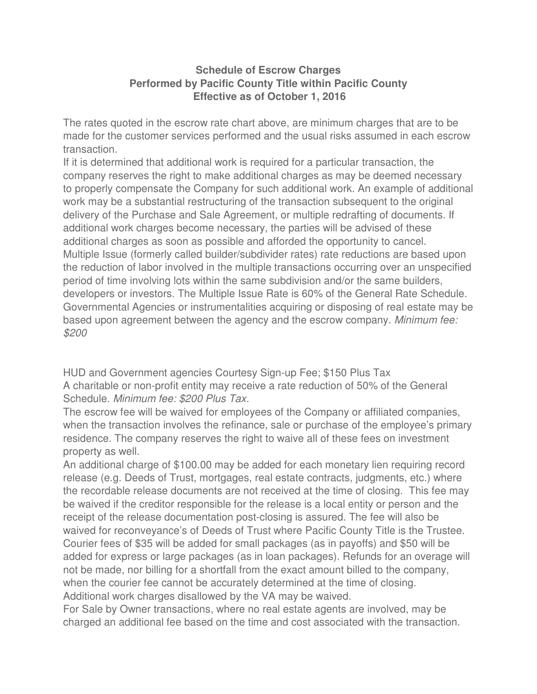## **Schedule of Escrow Charges Performed by Pacific County Title within Pacific County Effective as of October 1, 2016**

The rates quoted in the escrow rate chart above, are minimum charges that are to be made for the customer services performed and the usual risks assumed in each escrow transaction.

If it is determined that additional work is required for a particular transaction, the company reserves the right to make additional charges as may be deemed necessary to properly compensate the Company for such additional work. An example of additional work may be a substantial restructuring of the transaction subsequent to the original delivery of the Purchase and Sale Agreement, or multiple redrafting of documents. If additional work charges become necessary, the parties will be advised of these additional charges as soon as possible and afforded the opportunity to cancel. Multiple Issue (formerly called builder/subdivider rates) rate reductions are based upon the reduction of labor involved in the multiple transactions occurring over an unspecified period of time involving lots within the same subdivision and/or the same builders, developers or investors. The Multiple Issue Rate is 60% of the General Rate Schedule. Governmental Agencies or instrumentalities acquiring or disposing of real estate may be based upon agreement between the agency and the escrow company. Minimum fee: \$200

HUD and Government agencies Courtesy Sign-up Fee; \$150 Plus Tax A charitable or non-profit entity may receive a rate reduction of 50% of the General Schedule. Minimum fee: \$200 Plus Tax.

The escrow fee will be waived for employees of the Company or affiliated companies, when the transaction involves the refinance, sale or purchase of the employee's primary residence. The company reserves the right to waive all of these fees on investment property as well.

An additional charge of \$100.00 may be added for each monetary lien requiring record release (e.g. Deeds of Trust, mortgages, real estate contracts, judgments, etc.) where the recordable release documents are not received at the time of closing. This fee may be waived if the creditor responsible for the release is a local entity or person and the receipt of the release documentation post-closing is assured. The fee will also be waived for reconveyance's of Deeds of Trust where Pacific County Title is the Trustee. Courier fees of \$35 will be added for small packages (as in payoffs) and \$50 will be added for express or large packages (as in loan packages). Refunds for an overage will not be made, nor billing for a shortfall from the exact amount billed to the company, when the courier fee cannot be accurately determined at the time of closing. Additional work charges disallowed by the VA may be waived.

For Sale by Owner transactions, where no real estate agents are involved, may be charged an additional fee based on the time and cost associated with the transaction.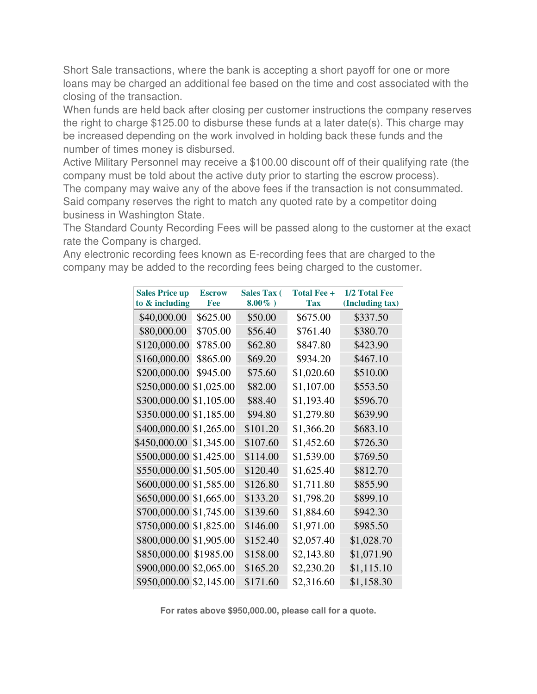Short Sale transactions, where the bank is accepting a short payoff for one or more loans may be charged an additional fee based on the time and cost associated with the closing of the transaction.

When funds are held back after closing per customer instructions the company reserves the right to charge \$125.00 to disburse these funds at a later date(s). This charge may be increased depending on the work involved in holding back these funds and the number of times money is disbursed.

Active Military Personnel may receive a \$100.00 discount off of their qualifying rate (the company must be told about the active duty prior to starting the escrow process). The company may waive any of the above fees if the transaction is not consummated. Said company reserves the right to match any quoted rate by a competitor doing business in Washington State.

The Standard County Recording Fees will be passed along to the customer at the exact rate the Company is charged.

Any electronic recording fees known as E-recording fees that are charged to the company may be added to the recording fees being charged to the customer.

| <b>Sales Price up</b>   | <b>Escrow</b> | <b>Sales Tax (</b> | <b>Total Fee +</b> | 1/2 Total Fee   |
|-------------------------|---------------|--------------------|--------------------|-----------------|
| to & including          | Fee           | $8.00\%$ )         | <b>Tax</b>         | (Including tax) |
| \$40,000.00             | \$625.00      | \$50.00            | \$675.00           | \$337.50        |
| \$80,000.00             | \$705.00      | \$56.40            | \$761.40           | \$380.70        |
| \$120,000.00            | \$785.00      | \$62.80            | \$847.80           | \$423.90        |
| \$160,000.00            | \$865.00      | \$69.20            | \$934.20           | \$467.10        |
| \$200,000.00            | \$945.00      | \$75.60            | \$1,020.60         | \$510.00        |
| \$250,000.00 \$1,025.00 |               | \$82.00            | \$1,107.00         | \$553.50        |
| \$300,000.00 \$1,105.00 |               | \$88.40            | \$1,193.40         | \$596.70        |
| \$350.000.00 \$1,185.00 |               | \$94.80            | \$1,279.80         | \$639.90        |
| \$400,000.00 \$1,265.00 |               | \$101.20           | \$1,366.20         | \$683.10        |
| \$450,000.00 \$1,345.00 |               | \$107.60           | \$1,452.60         | \$726.30        |
| \$500,000.00 \$1,425.00 |               | \$114.00           | \$1,539.00         | \$769.50        |
| \$550,000.00 \$1,505.00 |               | \$120.40           | \$1,625.40         | \$812.70        |
| \$600,000.00 \$1,585.00 |               | \$126.80           | \$1,711.80         | \$855.90        |
| \$650,000.00 \$1,665.00 |               | \$133.20           | \$1,798.20         | \$899.10        |
| \$700,000.00 \$1,745.00 |               | \$139.60           | \$1,884.60         | \$942.30        |
| \$750,000.00 \$1,825.00 |               | \$146.00           | \$1,971.00         | \$985.50        |
| \$800,000.00 \$1,905.00 |               | \$152.40           | \$2,057.40         | \$1,028.70      |
| \$850,000.00 \$1985.00  |               | \$158.00           | \$2,143.80         | \$1,071.90      |
| \$900,000.00 \$2,065.00 |               | \$165.20           | \$2,230.20         | \$1,115.10      |
| \$950,000.00 \$2,145.00 |               | \$171.60           | \$2,316.60         | \$1,158.30      |

**For rates above \$950,000.00, please call for a quote.**